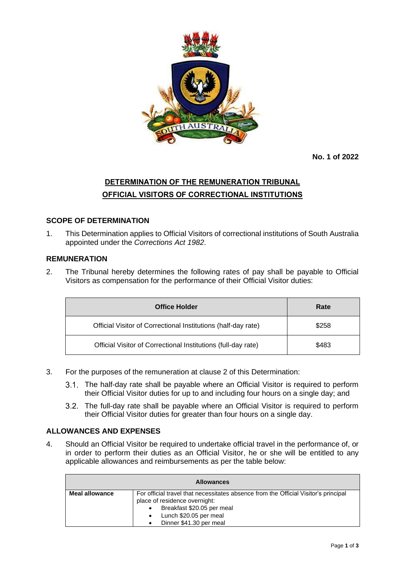

**No. 1 of 2022**

# **DETERMINATION OF THE REMUNERATION TRIBUNAL OFFICIAL VISITORS OF CORRECTIONAL INSTITUTIONS**

### **SCOPE OF DETERMINATION**

1. This Determination applies to Official Visitors of correctional institutions of South Australia appointed under the *Corrections Act 1982*.

#### **REMUNERATION**

2. The Tribunal hereby determines the following rates of pay shall be payable to Official Visitors as compensation for the performance of their Official Visitor duties:

| <b>Office Holder</b>                                          | Rate  |
|---------------------------------------------------------------|-------|
| Official Visitor of Correctional Institutions (half-day rate) | \$258 |
| Official Visitor of Correctional Institutions (full-day rate) | \$483 |

- 3. For the purposes of the remuneration at clause 2 of this Determination:
	- The half-day rate shall be payable where an Official Visitor is required to perform their Official Visitor duties for up to and including four hours on a single day; and
	- The full-day rate shall be payable where an Official Visitor is required to perform their Official Visitor duties for greater than four hours on a single day.

#### **ALLOWANCES AND EXPENSES**

4. Should an Official Visitor be required to undertake official travel in the performance of, or in order to perform their duties as an Official Visitor, he or she will be entitled to any applicable allowances and reimbursements as per the table below:

| <b>Allowances</b> |                                                                                                                                                                                                                                   |  |
|-------------------|-----------------------------------------------------------------------------------------------------------------------------------------------------------------------------------------------------------------------------------|--|
| Meal allowance    | For official travel that necessitates absence from the Official Visitor's principal<br>place of residence overnight:<br>Breakfast \$20.05 per meal<br>$\bullet$<br>Lunch \$20.05 per meal<br>$\bullet$<br>Dinner \$41.30 per meal |  |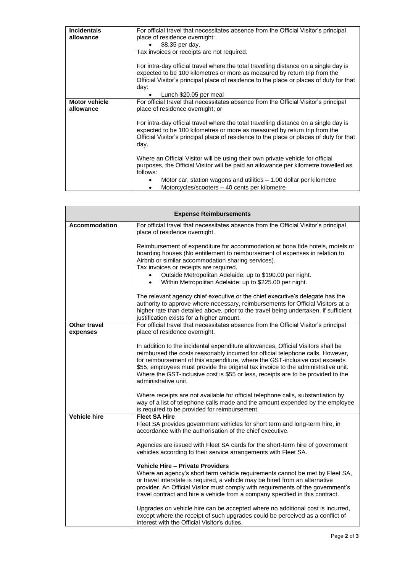| <b>Incidentals</b>   | For official travel that necessitates absence from the Official Visitor's principal                                                                                                                                                                                  |
|----------------------|----------------------------------------------------------------------------------------------------------------------------------------------------------------------------------------------------------------------------------------------------------------------|
| allowance            | place of residence overnight:                                                                                                                                                                                                                                        |
|                      | \$8.35 per day.                                                                                                                                                                                                                                                      |
|                      | Tax invoices or receipts are not required.                                                                                                                                                                                                                           |
|                      |                                                                                                                                                                                                                                                                      |
|                      | For intra-day official travel where the total travelling distance on a single day is<br>expected to be 100 kilometres or more as measured by return trip from the<br>Official Visitor's principal place of residence to the place or places of duty for that<br>day: |
|                      | Lunch \$20.05 per meal                                                                                                                                                                                                                                               |
| <b>Motor vehicle</b> | For official travel that necessitates absence from the Official Visitor's principal                                                                                                                                                                                  |
| allowance            | place of residence overnight; or                                                                                                                                                                                                                                     |
|                      |                                                                                                                                                                                                                                                                      |
|                      | For intra-day official travel where the total travelling distance on a single day is<br>expected to be 100 kilometres or more as measured by return trip from the<br>Official Visitor's principal place of residence to the place or places of duty for that<br>day. |
|                      | Where an Official Visitor will be using their own private vehicle for official<br>purposes, the Official Visitor will be paid an allowance per kilometre travelled as<br>follows:                                                                                    |
|                      | Motor car, station wagons and utilities $-1.00$ dollar per kilometre                                                                                                                                                                                                 |
|                      | Motorcycles/scooters - 40 cents per kilometre                                                                                                                                                                                                                        |

| <b>Expense Reimbursements</b>   |                                                                                                                                                                                                                                                                                                                                                                                                                                                     |  |
|---------------------------------|-----------------------------------------------------------------------------------------------------------------------------------------------------------------------------------------------------------------------------------------------------------------------------------------------------------------------------------------------------------------------------------------------------------------------------------------------------|--|
| <b>Accommodation</b>            | For official travel that necessitates absence from the Official Visitor's principal<br>place of residence overnight.                                                                                                                                                                                                                                                                                                                                |  |
|                                 | Reimbursement of expenditure for accommodation at bona fide hotels, motels or<br>boarding houses (No entitlement to reimbursement of expenses in relation to<br>Airbnb or similar accommodation sharing services).<br>Tax invoices or receipts are required.<br>Outside Metropolitan Adelaide: up to \$190.00 per night.                                                                                                                            |  |
|                                 | Within Metropolitan Adelaide: up to \$225.00 per night.<br>$\bullet$                                                                                                                                                                                                                                                                                                                                                                                |  |
|                                 | The relevant agency chief executive or the chief executive's delegate has the<br>authority to approve where necessary, reimbursements for Official Visitors at a<br>higher rate than detailed above, prior to the travel being undertaken, if sufficient<br>justification exists for a higher amount.                                                                                                                                               |  |
| <b>Other travel</b><br>expenses | For official travel that necessitates absence from the Official Visitor's principal<br>place of residence overnight.                                                                                                                                                                                                                                                                                                                                |  |
|                                 | In addition to the incidental expenditure allowances, Official Visitors shall be<br>reimbursed the costs reasonably incurred for official telephone calls. However,<br>for reimbursement of this expenditure, where the GST-inclusive cost exceeds<br>\$55, employees must provide the original tax invoice to the administrative unit.<br>Where the GST-inclusive cost is \$55 or less, receipts are to be provided to the<br>administrative unit. |  |
|                                 | Where receipts are not available for official telephone calls, substantiation by<br>way of a list of telephone calls made and the amount expended by the employee<br>is required to be provided for reimbursement.                                                                                                                                                                                                                                  |  |
| <b>Vehicle hire</b>             | <b>Fleet SA Hire</b><br>Fleet SA provides government vehicles for short term and long-term hire, in<br>accordance with the authorisation of the chief executive.                                                                                                                                                                                                                                                                                    |  |
|                                 | Agencies are issued with Fleet SA cards for the short-term hire of government<br>vehicles according to their service arrangements with Fleet SA.                                                                                                                                                                                                                                                                                                    |  |
|                                 | <b>Vehicle Hire - Private Providers</b><br>Where an agency's short term vehicle requirements cannot be met by Fleet SA,<br>or travel interstate is required, a vehicle may be hired from an alternative<br>provider. An Official Visitor must comply with requirements of the government's<br>travel contract and hire a vehicle from a company specified in this contract.                                                                         |  |
|                                 | Upgrades on vehicle hire can be accepted where no additional cost is incurred,<br>except where the receipt of such upgrades could be perceived as a conflict of<br>interest with the Official Visitor's duties.                                                                                                                                                                                                                                     |  |